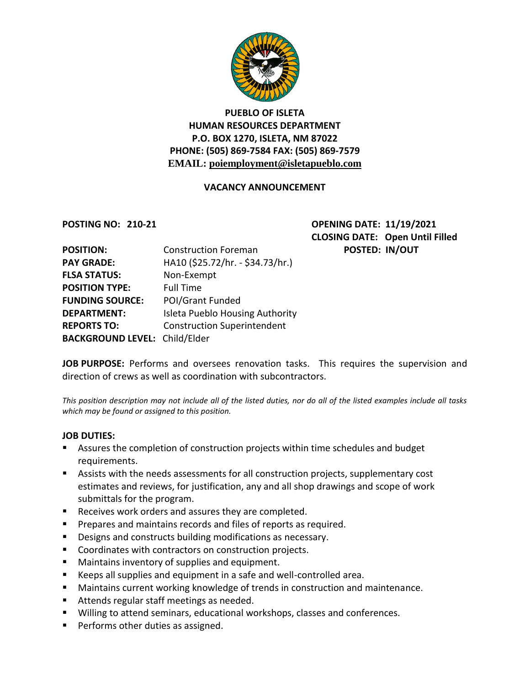

# **PUEBLO OF ISLETA HUMAN RESOURCES DEPARTMENT P.O. BOX 1270, ISLETA, NM 87022 PHONE: (505) 869-7584 FAX: (505) 869-7579 EMAIL: poiemployment@isletapueblo.com**

## **VACANCY ANNOUNCEMENT**

**POSTING NO: 210-21 OPENING DATE: 11/19/2021 CLOSING DATE: Open Until Filled POSTED: IN/OUT** 

| <b>POSITION:</b>                     | <b>Construction Foreman</b>        |
|--------------------------------------|------------------------------------|
| <b>PAY GRADE:</b>                    | HA10 (\$25.72/hr. - \$34.73/hr.)   |
| <b>FLSA STATUS:</b>                  | Non-Exempt                         |
| <b>POSITION TYPE:</b>                | <b>Full Time</b>                   |
| <b>FUNDING SOURCE:</b>               | POI/Grant Funded                   |
| <b>DEPARTMENT:</b>                   | Isleta Pueblo Housing Authority    |
| <b>REPORTS TO:</b>                   | <b>Construction Superintendent</b> |
| <b>BACKGROUND LEVEL: Child/Elder</b> |                                    |

JOB PURPOSE: Performs and oversees renovation tasks. This requires the supervision and direction of crews as well as coordination with subcontractors.

*This position description may not include all of the listed duties, nor do all of the listed examples include all tasks which may be found or assigned to this position.*

### **JOB DUTIES:**

- Assures the completion of construction projects within time schedules and budget requirements.
- Assists with the needs assessments for all construction projects, supplementary cost estimates and reviews, for justification, any and all shop drawings and scope of work submittals for the program.
- Receives work orders and assures they are completed.
- **Prepares and maintains records and files of reports as required.**
- **Designs and constructs building modifications as necessary.**
- Coordinates with contractors on construction projects.
- **Maintains inventory of supplies and equipment.**
- Keeps all supplies and equipment in a safe and well-controlled area.
- Maintains current working knowledge of trends in construction and maintenance.
- Attends regular staff meetings as needed.
- Willing to attend seminars, educational workshops, classes and conferences.
- **Performs other duties as assigned.**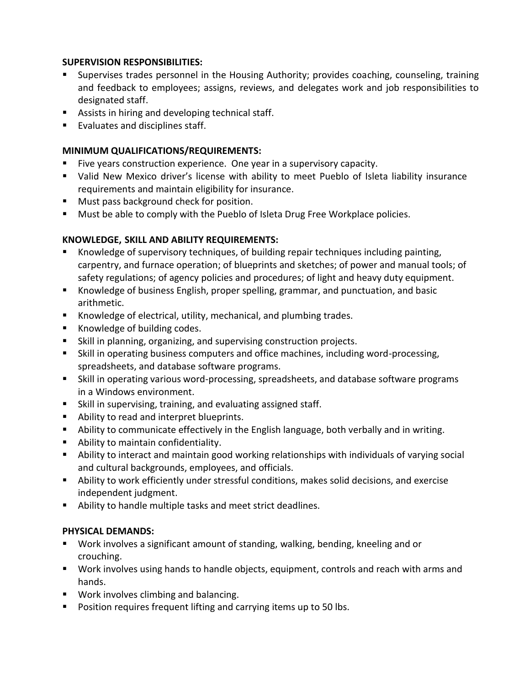## **SUPERVISION RESPONSIBILITIES:**

- Supervises trades personnel in the Housing Authority; provides coaching, counseling, training and feedback to employees; assigns, reviews, and delegates work and job responsibilities to designated staff.
- **Assists in hiring and developing technical staff.**
- **Evaluates and disciplines staff.**

## **MINIMUM QUALIFICATIONS/REQUIREMENTS:**

- Five years construction experience. One year in a supervisory capacity.
- Valid New Mexico driver's license with ability to meet Pueblo of Isleta liability insurance requirements and maintain eligibility for insurance.
- **Must pass background check for position.**
- **Must be able to comply with the Pueblo of Isleta Drug Free Workplace policies.**

## **KNOWLEDGE, SKILL AND ABILITY REQUIREMENTS:**

- Knowledge of supervisory techniques, of building repair techniques including painting, carpentry, and furnace operation; of blueprints and sketches; of power and manual tools; of safety regulations; of agency policies and procedures; of light and heavy duty equipment.
- Knowledge of business English, proper spelling, grammar, and punctuation, and basic arithmetic.
- **K**nowledge of electrical, utility, mechanical, and plumbing trades.
- Knowledge of building codes.
- Skill in planning, organizing, and supervising construction projects.
- Skill in operating business computers and office machines, including word-processing, spreadsheets, and database software programs.
- Skill in operating various word-processing, spreadsheets, and database software programs in a Windows environment.
- Skill in supervising, training, and evaluating assigned staff.
- **Ability to read and interpret blueprints.**
- Ability to communicate effectively in the English language, both verbally and in writing.
- Ability to maintain confidentiality.
- Ability to interact and maintain good working relationships with individuals of varying social and cultural backgrounds, employees, and officials.
- Ability to work efficiently under stressful conditions, makes solid decisions, and exercise independent judgment.
- Ability to handle multiple tasks and meet strict deadlines.

### **PHYSICAL DEMANDS:**

- Work involves a significant amount of standing, walking, bending, kneeling and or crouching.
- Work involves using hands to handle objects, equipment, controls and reach with arms and hands.
- **Work involves climbing and balancing.**
- **Position requires frequent lifting and carrying items up to 50 lbs.**